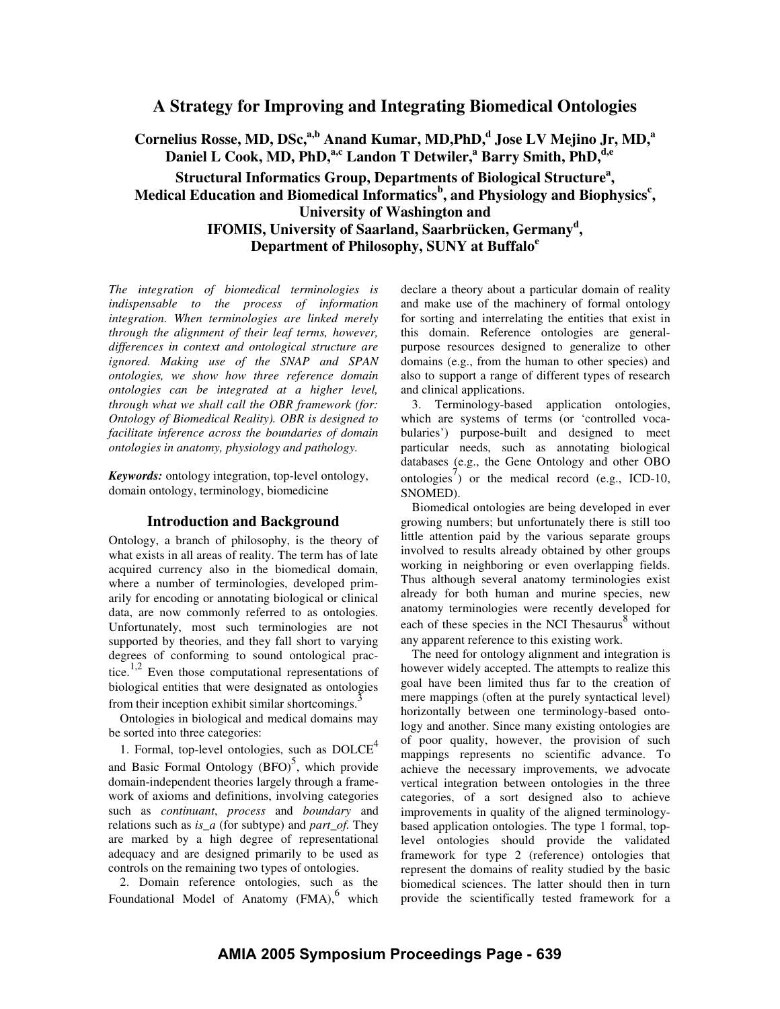# **A Strategy for Improving and Integrating Biomedical Ontologies**

**Cornelius Rosse, MD, DSc, a,b Anand Kumar, MD,PhD, d Jose LV Mejino Jr, MD, a Daniel L Cook, MD, PhD, a,c Landon T Detwiler, <sup>a</sup> Barry Smith, PhD, d,e Structural Informatics Group, Departments of Biological Structure a , Medical Education and Biomedical Informatics b , and Physiology and Biophysics c , University of Washington and IFOMIS, University of Saarland, Saarbrücken, Germany d , Department of Philosophy, SUNY at Buffalo e**

*The integration of biomedical terminologies is indispensable to the process of information integration. When terminologies are linked merely through the alignment of their leaf terms, however, differences in context and ontological structure are ignored. Making use of the SNAP and SPAN ontologies, we show how three reference domain ontologies can be integrated at a higher level, through what we shall call the OBR framework (for: Ontology of Biomedical Reality). OBR is designed to facilitate inference across the boundaries of domain ontologies in anatomy, physiology and pathology.*

*Keywords:* ontology integration, top-level ontology, domain ontology, terminology, biomedicine

#### **Introduction and Background**

Ontology, a branch of philosophy, is the theory of what exists in all areas of reality. The term has of late acquired currency also in the biomedical domain, where a number of terminologies, developed primarily for encoding or annotating biological or clinical data, are now commonly referred to as ontologies. Unfortunately, most such terminologies are not supported by theories, and they fall short to varying degrees of conforming to sound ontological practice.<sup>1,2</sup> Even those computational representations of biological entities that were designated as ontologies from their inception exhibit similar shortcomings.<sup>3</sup>

Ontologies in biological and medical domains may be sorted into three categories:

1. Formal, top-level ontologies, such as  $DOLCE<sup>4</sup>$ and Basic Formal Ontology (BFO)<sup>5</sup>, which provide domain-independent theories largely through a framework of axioms and definitions, involving categories such as *continuant*, *process* and *boundary* and relations such as *is\_a* (for subtype) and *part\_of.* They are marked by a high degree of representational adequacy and are designed primarily to be used as controls on the remaining two types of ontologies.

2. Domain reference ontologies, such as the Foundational Model of Anatomy (FMA),<sup>6</sup> which declare a theory about a particular domain of reality and make use of the machinery of formal ontology for sorting and interrelating the entities that exist in this domain. Reference ontologies are generalpurpose resources designed to generalize to other domains (e.g., from the human to other species) and also to support a range of different types of research and clinical applications.

3. Terminology-based application ontologies, which are systems of terms (or 'controlled vocabularies') purpose-built and designed to meet particular needs, such as annotating biological databases (e.g., the Gene Ontology and other OBO ontologies<sup>7</sup>) or the medical record (e.g., ICD-10, SNOMED).

Biomedical ontologies are being developed in ever growing numbers; but unfortunately there is still too little attention paid by the various separate groups involved to results already obtained by other groups working in neighboring or even overlapping fields. Thus although several anatomy terminologies exist already for both human and murine species, new anatomy terminologies were recently developed for each of these species in the NCI Thesaurus<sup>8</sup> without any apparent reference to this existing work.

The need for ontology alignment and integration is however widely accepted. The attempts to realize this goal have been limited thus far to the creation of mere mappings (often at the purely syntactical level) horizontally between one terminology-based ontology and another. Since many existing ontologies are of poor quality, however, the provision of such mappings represents no scientific advance. To achieve the necessary improvements, we advocate vertical integration between ontologies in the three categories, of a sort designed also to achieve improvements in quality of the aligned terminologybased application ontologies. The type 1 formal, toplevel ontologies should provide the validated framework for type 2 (reference) ontologies that represent the domains of reality studied by the basic biomedical sciences. The latter should then in turn provide the scientifically tested framework for a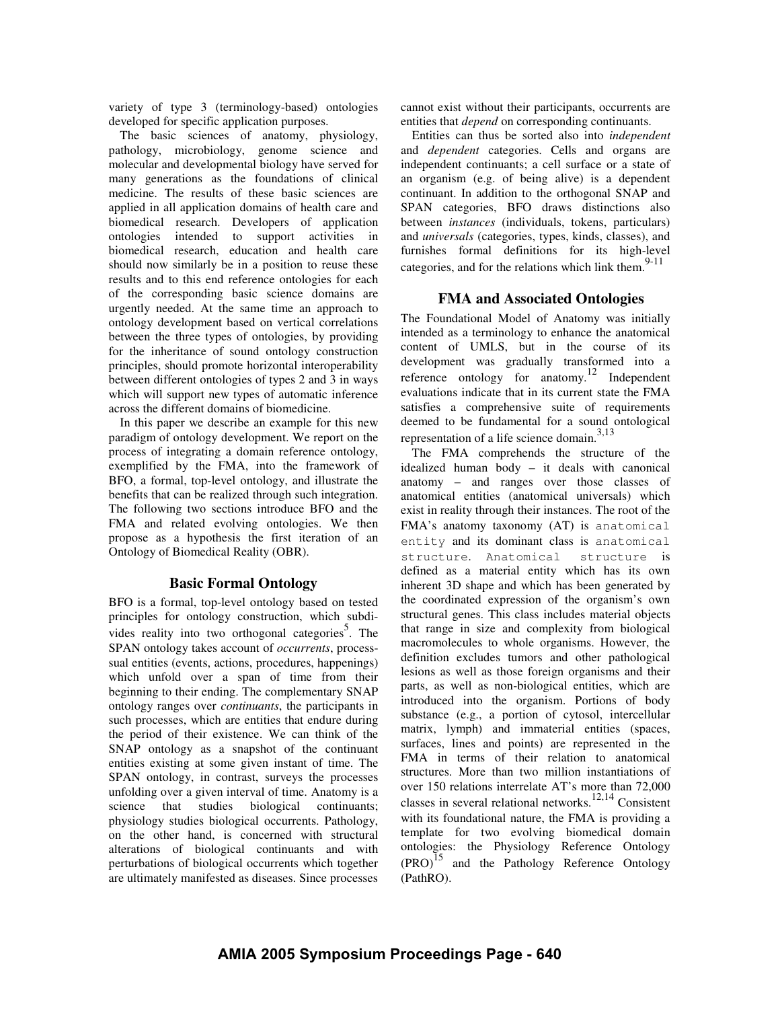variety of type 3 (terminology-based) ontologies developed for specific application purposes.

The basic sciences of anatomy, physiology, pathology, microbiology, genome science and molecular and developmental biology have served for many generations as the foundations of clinical medicine. The results of these basic sciences are applied in all application domains of health care and biomedical research. Developers of application ontologies intended to support activities in biomedical research, education and health care should now similarly be in a position to reuse these results and to this end reference ontologies for each of the corresponding basic science domains are urgently needed. At the same time an approach to ontology development based on vertical correlations between the three types of ontologies, by providing for the inheritance of sound ontology construction principles, should promote horizontal interoperability between different ontologies of types 2 and 3 in ways which will support new types of automatic inference across the different domains of biomedicine.

In this paper we describe an example for this new paradigm of ontology development. We report on the process of integrating a domain reference ontology, exemplified by the FMA, into the framework of BFO, a formal, top-level ontology, and illustrate the benefits that can be realized through such integration. The following two sections introduce BFO and the FMA and related evolving ontologies. We then propose as a hypothesis the first iteration of an Ontology of Biomedical Reality (OBR).

# **Basic Formal Ontology**

BFO is a formal, top-level ontology based on tested principles for ontology construction, which subdivides reality into two orthogonal categories<sup>5</sup>. The SPAN ontology takes account of *occurrents*, processsual entities (events, actions, procedures, happenings) which unfold over a span of time from their beginning to their ending. The complementary SNAP ontology ranges over *continuants*, the participants in such processes, which are entities that endure during the period of their existence. We can think of the SNAP ontology as a snapshot of the continuant entities existing at some given instant of time. The SPAN ontology, in contrast, surveys the processes unfolding over a given interval of time. Anatomy is a science that studies biological continuants; physiology studies biological occurrents. Pathology, on the other hand, is concerned with structural alterations of biological continuants and with perturbations of biological occurrents which together are ultimately manifested as diseases. Since processes cannot exist without their participants, occurrents are entities that *depend* on corresponding continuants.

Entities can thus be sorted also into *independent* and *dependent* categories. Cells and organs are independent continuants; a cell surface or a state of an organism (e.g. of being alive) is a dependent continuant. In addition to the orthogonal SNAP and SPAN categories, BFO draws distinctions also between *instances* (individuals, tokens, particulars) and *universals* (categories, types, kinds, classes), and furnishes formal definitions for its high-level categories, and for the relations which link them.<sup>9-11</sup>

### **FMA and Associated Ontologies**

The Foundational Model of Anatomy was initially intended as a terminology to enhance the anatomical content of UMLS, but in the course of its development was gradually transformed into a reference ontology for anatomy. 12 Independent evaluations indicate that in its current state the FMA satisfies a comprehensive suite of requirements deemed to be fundamental for a sound ontological representation of a life science domain. 3,13

The FMA comprehends the structure of the idealized human body – it deals with canonical anatomy – and ranges over those classes of anatomical entities (anatomical universals) which exist in reality through their instances. The root of the FMA's anatomy taxonomy (AT) is anatomical entity and its dominant class is anatomical structure. Anatomical structure is defined as a material entity which has its own inherent 3D shape and which has been generated by the coordinated expression of the organism's own structural genes. This class includes material objects that range in size and complexity from biological macromolecules to whole organisms. However, the definition excludes tumors and other pathological lesions as well as those foreign organisms and their parts, as well as non-biological entities, which are introduced into the organism. Portions of body substance (e.g., a portion of cytosol, intercellular matrix, lymph) and immaterial entities (spaces, surfaces, lines and points) are represented in the FMA in terms of their relation to anatomical structures. More than two million instantiations of over 150 relations interrelate AT's more than 72,000 classes in several relational networks. 12,14 Consistent with its foundational nature, the FMA is providing a template for two evolving biomedical domain ontologies: the Physiology Reference Ontology (PRO) 15 and the Pathology Reference Ontology (PathRO).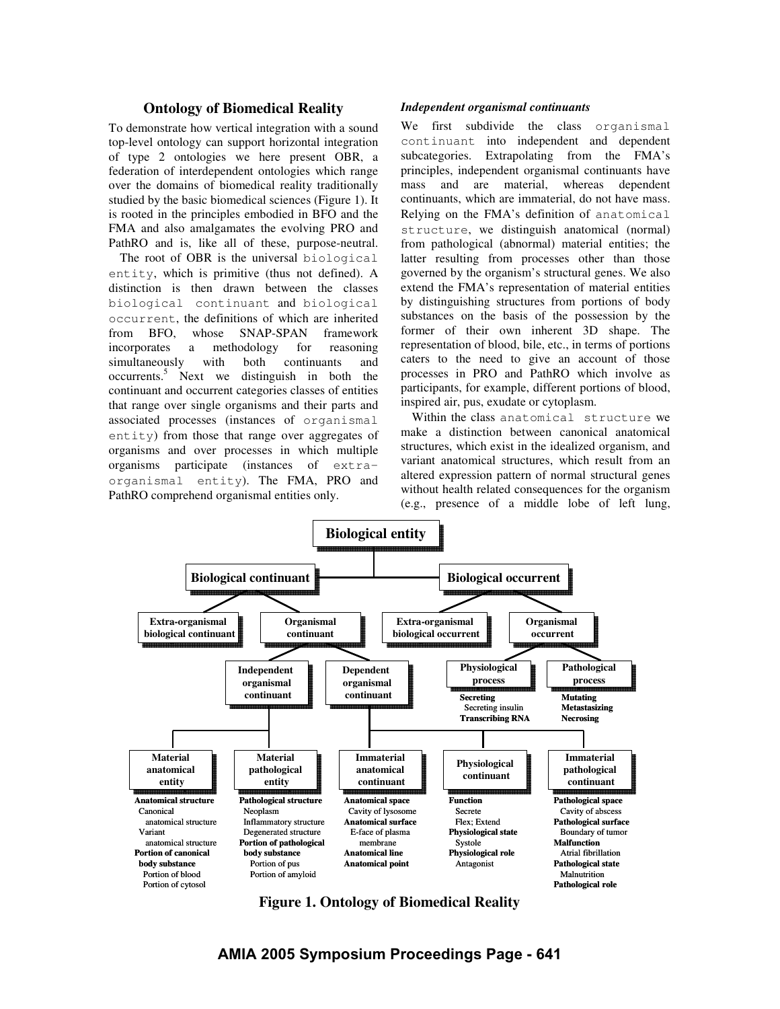# **Ontology of Biomedical Reality**

To demonstrate how vertical integration with a sound top-level ontology can support horizontal integration of type 2 ontologies we here present OBR, a federation of interdependent ontologies which range over the domains of biomedical reality traditionally studied by the basic biomedical sciences (Figure 1). It is rooted in the principles embodied in BFO and the FMA and also amalgamates the evolving PRO and PathRO and is, like all of these, purpose-neutral.

The root of OBR is the universal biological entity, which is primitive (thus not defined). A distinction is then drawn between the classes biological continuant and biological occurrent, the definitions of which are inherited from BFO, whose SNAP-SPAN framework incorporates a methodology for reasoning simultaneously with both continuants and occurrents. <sup>5</sup> Next we distinguish in both the continuant and occurrent categories classes of entities that range over single organisms and their parts and associated processes (instances of organismal entity) from those that range over aggregates of organisms and over processes in which multiple organisms participate (instances of extraorganismal entity). The FMA, PRO and PathRO comprehend organismal entities only.

#### *Independent organismal continuants*

We first subdivide the class organismal continuant into independent and dependent subcategories. Extrapolating from the FMA's principles, independent organismal continuants have mass and are material, whereas dependent continuants, which are immaterial, do not have mass. Relying on the FMA's definition of anatomical structure, we distinguish anatomical (normal) from pathological (abnormal) material entities; the latter resulting from processes other than those governed by the organism's structural genes. We also extend the FMA's representation of material entities by distinguishing structures from portions of body substances on the basis of the possession by the former of their own inherent 3D shape. The representation of blood, bile, etc., in terms of portions caters to the need to give an account of those processes in PRO and PathRO which involve as participants, for example, different portions of blood, inspired air, pus, exudate or cytoplasm.

Within the class anatomical structure we make a distinction between canonical anatomical structures, which exist in the idealized organism, and variant anatomical structures, which result from an altered expression pattern of normal structural genes without health related consequences for the organism (e.g., presence of a middle lobe of left lung,



**Figure 1. Ontology of Biomedical Reality**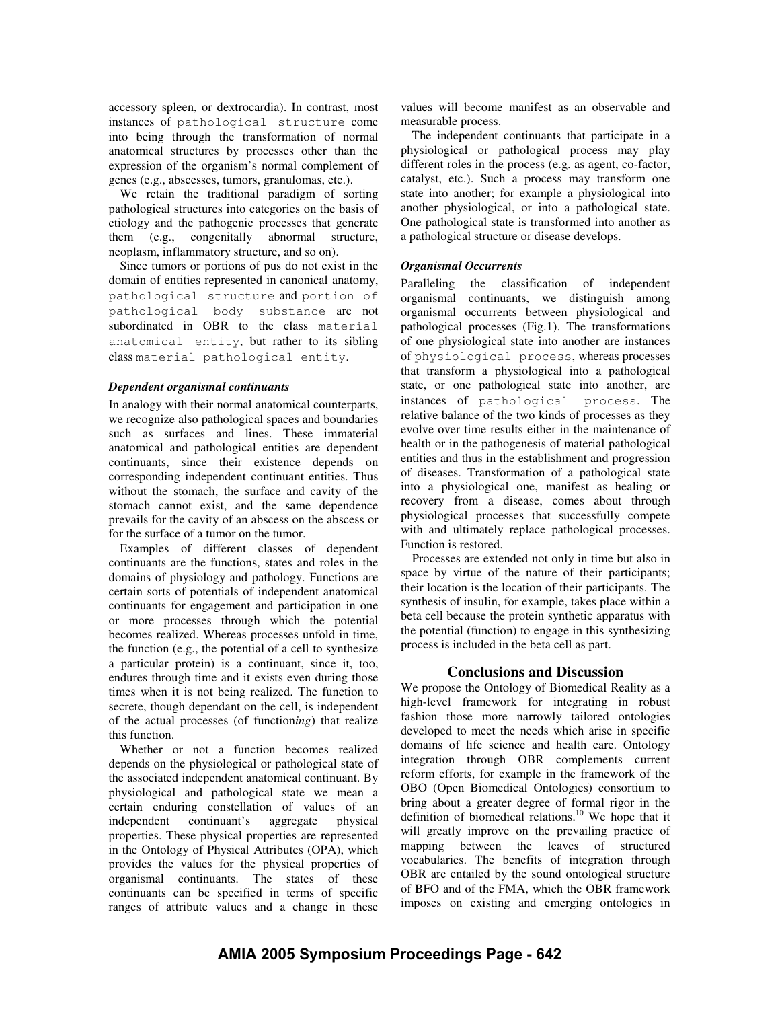accessory spleen, or dextrocardia). In contrast, most instances of pathological structure come into being through the transformation of normal anatomical structures by processes other than the expression of the organism's normal complement of genes (e.g., abscesses, tumors, granulomas, etc.).

We retain the traditional paradigm of sorting pathological structures into categories on the basis of etiology and the pathogenic processes that generate them (e.g., congenitally abnormal structure, neoplasm, inflammatory structure, and so on).

Since tumors or portions of pus do not exist in the domain of entities represented in canonical anatomy, pathological structure and portion of pathological body substance are not subordinated in OBR to the class material anatomical entity, but rather to its sibling class material pathological entity.

#### *Dependent organismal continuants*

In analogy with their normal anatomical counterparts, we recognize also pathological spaces and boundaries such as surfaces and lines. These immaterial anatomical and pathological entities are dependent continuants, since their existence depends on corresponding independent continuant entities. Thus without the stomach, the surface and cavity of the stomach cannot exist, and the same dependence prevails for the cavity of an abscess on the abscess or for the surface of a tumor on the tumor.

Examples of different classes of dependent continuants are the functions, states and roles in the domains of physiology and pathology. Functions are certain sorts of potentials of independent anatomical continuants for engagement and participation in one or more processes through which the potential becomes realized. Whereas processes unfold in time, the function (e.g., the potential of a cell to synthesize a particular protein) is a continuant, since it, too, endures through time and it exists even during those times when it is not being realized. The function to secrete, though dependant on the cell, is independent of the actual processes (of function*ing*) that realize this function.

Whether or not a function becomes realized depends on the physiological or pathological state of the associated independent anatomical continuant. By physiological and pathological state we mean a certain enduring constellation of values of an independent continuant's aggregate physical properties. These physical properties are represented in the Ontology of Physical Attributes (OPA), which provides the values for the physical properties of organismal continuants. The states of these continuants can be specified in terms of specific ranges of attribute values and a change in these

values will become manifest as an observable and measurable process.

The independent continuants that participate in a physiological or pathological process may play different roles in the process (e.g. as agent, co-factor, catalyst, etc.). Such a process may transform one state into another; for example a physiological into another physiological, or into a pathological state. One pathological state is transformed into another as a pathological structure or disease develops.

# *Organismal Occurrents*

Paralleling the classification of independent organismal continuants, we distinguish among organismal occurrents between physiological and pathological processes (Fig.1). The transformations of one physiological state into another are instances of physiological process, whereas processes that transform a physiological into a pathological state, or one pathological state into another, are instances of pathological process. The relative balance of the two kinds of processes as they evolve over time results either in the maintenance of health or in the pathogenesis of material pathological entities and thus in the establishment and progression of diseases. Transformation of a pathological state into a physiological one, manifest as healing or recovery from a disease, comes about through physiological processes that successfully compete with and ultimately replace pathological processes. Function is restored.

Processes are extended not only in time but also in space by virtue of the nature of their participants; their location is the location of their participants. The synthesis of insulin, for example, takes place within a beta cell because the protein synthetic apparatus with the potential (function) to engage in this synthesizing process is included in the beta cell as part.

# **Conclusions and Discussion**

We propose the Ontology of Biomedical Reality as a high-level framework for integrating in robust fashion those more narrowly tailored ontologies developed to meet the needs which arise in specific domains of life science and health care. Ontology integration through OBR complements current reform efforts, for example in the framework of the OBO (Open Biomedical Ontologies) consortium to bring about a greater degree of formal rigor in the definition of biomedical relations. <sup>10</sup> We hope that it will greatly improve on the prevailing practice of mapping between the leaves of structured vocabularies. The benefits of integration through OBR are entailed by the sound ontological structure of BFO and of the FMA, which the OBR framework imposes on existing and emerging ontologies in